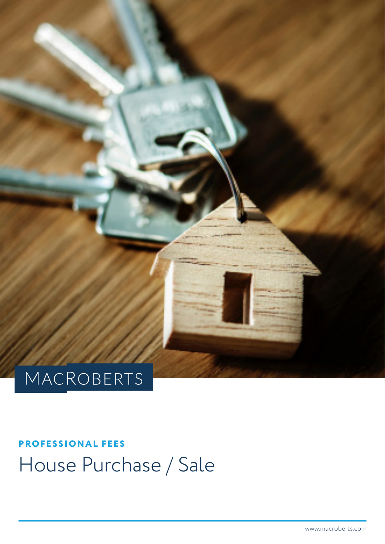

# MACROBERTS

# **PROFESSIONAL FEES** House Purchase / Sale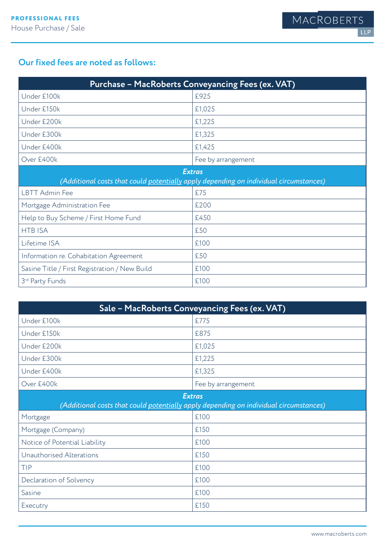#### **Our fixed fees are noted as follows:**

| Purchase - MacRoberts Conveyancing Fees (ex. VAT)                                                      |                    |
|--------------------------------------------------------------------------------------------------------|--------------------|
| Under £100k                                                                                            | £925               |
| Under £150k                                                                                            | £1,025             |
| Under £200k                                                                                            | £1,225             |
| Under £300k                                                                                            | £1,325             |
| Under £400k                                                                                            | £1,425             |
| Over £400k                                                                                             | Fee by arrangement |
| <b>Extras</b><br>(Additional costs that could potentially apply depending on individual circumstances) |                    |
| <b>LBTT Admin Fee</b>                                                                                  | £75                |
| Mortgage Administration Fee                                                                            | £200               |
| Help to Buy Scheme / First Home Fund                                                                   | £450               |
| <b>HTB ISA</b>                                                                                         | £50                |
| Lifetime ISA                                                                                           | £100               |
| Information re. Cohabitation Agreement                                                                 | £50                |
| Sasine Title / First Registration / New Build                                                          | £100               |
| 3rd Party Funds                                                                                        | £100               |

| Sale - MacRoberts Conveyancing Fees (ex. VAT)                                                          |                    |
|--------------------------------------------------------------------------------------------------------|--------------------|
| Under £100k                                                                                            | £775               |
| Under £150k                                                                                            | £875               |
| Under £200k                                                                                            | £1,025             |
| Under £300k                                                                                            | £1,225             |
| Under £400k                                                                                            | £1,325             |
| Over £400k                                                                                             | Fee by arrangement |
| <b>Extras</b><br>(Additional costs that could potentially apply depending on individual circumstances) |                    |
| Mortgage                                                                                               | £100               |
| Mortgage (Company)                                                                                     | £150               |
| Notice of Potential Liability                                                                          | £100               |
| Unauthorised Alterations                                                                               | £150               |
| TIP                                                                                                    | £100               |
| Declaration of Solvency                                                                                | £100               |
| Sasine                                                                                                 | £100               |
| Executry                                                                                               | £150               |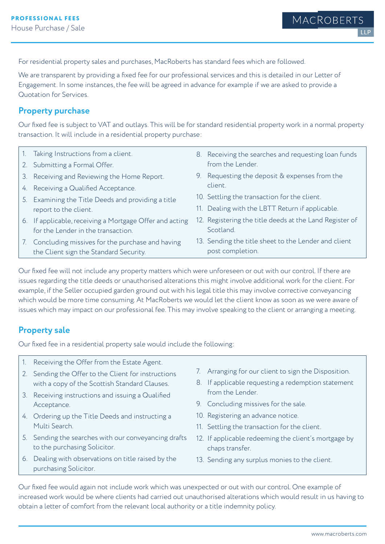For residential property sales and purchases, MacRoberts has standard fees which are followed.

We are transparent by providing a fixed fee for our professional services and this is detailed in our Letter of Engagement. In some instances, the fee will be agreed in advance for example if we are asked to provide a Quotation for Services.

#### **Property purchase**

Our fixed fee is subject to VAT and outlays. This will be for standard residential property work in a normal property transaction. It will include in a residential property purchase:

- 1. Taking Instructions from a client.
- 2. Submitting a Formal Offer.
- 3. Receiving and Reviewing the Home Report.
- 4. Receiving a Qualified Acceptance.
- 5. Examining the Title Deeds and providing a title report to the client.
- 6. If applicable, receiving a Mortgage Offer and acting for the Lender in the transaction.
- 7. Concluding missives for the purchase and having the Client sign the Standard Security.
- 8. Receiving the searches and requesting loan funds from the Lender.
- 9. Requesting the deposit & expenses from the client.
- 10. Settling the transaction for the client.
- 11. Dealing with the LBTT Return if applicable.
- 12. Registering the title deeds at the Land Register of Scotland.
- 13. Sending the title sheet to the Lender and client post completion.

Our fixed fee will not include any property matters which were unforeseen or out with our control. If there are issues regarding the title deeds or unauthorised alterations this might involve additional work for the client. For example, if the Seller occupied garden ground out with his legal title this may involve corrective conveyancing which would be more time consuming. At MacRoberts we would let the client know as soon as we were aware of issues which may impact on our professional fee. This may involve speaking to the client or arranging a meeting.

#### **Property sale**

Our fixed fee in a residential property sale would include the following:

- 1. Receiving the Offer from the Estate Agent.
- 2. Sending the Offer to the Client for instructions with a copy of the Scottish Standard Clauses.
- 3. Receiving instructions and issuing a Qualified Acceptance.
- 4. Ordering up the Title Deeds and instructing a Multi Search.
- 5. Sending the searches with our conveyancing drafts to the purchasing Solicitor.
- 6. Dealing with observations on title raised by the purchasing Solicitor.
- 7. Arranging for our client to sign the Disposition.
- 8. If applicable requesting a redemption statement from the Lender.
- 9. Concluding missives for the sale.
- 10. Registering an advance notice.
- 11. Settling the transaction for the client.
- 12. If applicable redeeming the client's mortgage by chaps transfer.
- 13. Sending any surplus monies to the client.

Our fixed fee would again not include work which was unexpected or out with our control. One example of increased work would be where clients had carried out unauthorised alterations which would result in us having to obtain a letter of comfort from the relevant local authority or a title indemnity policy.